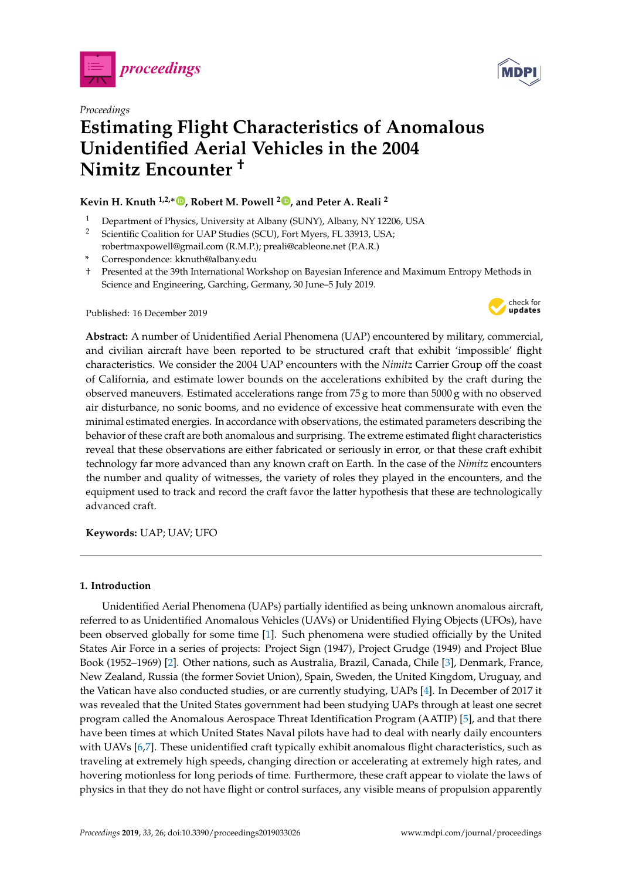



# *Proceedings* **Estimating Flight Characteristics of Anomalous Unidentified Aerial Vehicles in the 2004 Nimitz Encounter †**

## **Kevin H. Knuth 1,2,**[∗](https://orcid.org/0000-0001-7702-3807) **, Robert M. Powell <sup>2</sup> [,](https://orcid.org/0000-0001-7449-2499) and Peter A. Reali <sup>2</sup>**

- <sup>1</sup> Department of Physics, University at Albany (SUNY), Albany, NY 12206, USA
- <sup>2</sup> Scientific Coalition for UAP Studies (SCU), Fort Myers, FL 33913, USA; robertmaxpowell@gmail.com (R.M.P.); preali@cableone.net (P.A.R.)
- **\*** Correspondence: kknuth@albany.edu
- † Presented at the 39th International Workshop on Bayesian Inference and Maximum Entropy Methods in Science and Engineering, Garching, Germany, 30 June–5 July 2019.

Published: 16 December 2019



**Abstract:** A number of Unidentified Aerial Phenomena (UAP) encountered by military, commercial, and civilian aircraft have been reported to be structured craft that exhibit 'impossible' flight characteristics. We consider the 2004 UAP encounters with the *Nimitz* Carrier Group off the coast of California, and estimate lower bounds on the accelerations exhibited by the craft during the observed maneuvers. Estimated accelerations range from 75 g to more than 5000 g with no observed air disturbance, no sonic booms, and no evidence of excessive heat commensurate with even the minimal estimated energies. In accordance with observations, the estimated parameters describing the behavior of these craft are both anomalous and surprising. The extreme estimated flight characteristics reveal that these observations are either fabricated or seriously in error, or that these craft exhibit technology far more advanced than any known craft on Earth. In the case of the *Nimitz* encounters the number and quality of witnesses, the variety of roles they played in the encounters, and the equipment used to track and record the craft favor the latter hypothesis that these are technologically advanced craft.

**Keywords:** UAP; UAV; UFO

## **1. Introduction**

Unidentified Aerial Phenomena (UAPs) partially identified as being unknown anomalous aircraft, referred to as Unidentified Anomalous Vehicles (UAVs) or Unidentified Flying Objects (UFOs), have been observed globally for some time [\[1\]](#page-8-0). Such phenomena were studied officially by the United States Air Force in a series of projects: Project Sign (1947), Project Grudge (1949) and Project Blue Book (1952–1969) [\[2\]](#page-8-1). Other nations, such as Australia, Brazil, Canada, Chile [\[3\]](#page-8-2), Denmark, France, New Zealand, Russia (the former Soviet Union), Spain, Sweden, the United Kingdom, Uruguay, and the Vatican have also conducted studies, or are currently studying, UAPs [\[4\]](#page-8-3). In December of 2017 it was revealed that the United States government had been studying UAPs through at least one secret program called the Anomalous Aerospace Threat Identification Program (AATIP) [\[5\]](#page-8-4), and that there have been times at which United States Naval pilots have had to deal with nearly daily encounters with UAVs [\[6,](#page-9-0)[7\]](#page-9-1). These unidentified craft typically exhibit anomalous flight characteristics, such as traveling at extremely high speeds, changing direction or accelerating at extremely high rates, and hovering motionless for long periods of time. Furthermore, these craft appear to violate the laws of physics in that they do not have flight or control surfaces, any visible means of propulsion apparently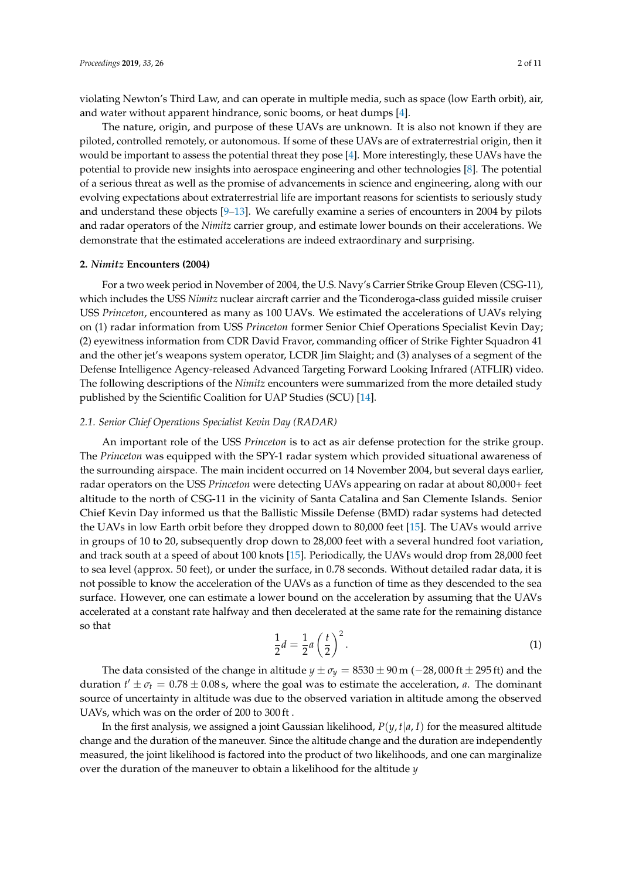violating Newton's Third Law, and can operate in multiple media, such as space (low Earth orbit), air, and water without apparent hindrance, sonic booms, or heat dumps [\[4\]](#page-8-3).

The nature, origin, and purpose of these UAVs are unknown. It is also not known if they are piloted, controlled remotely, or autonomous. If some of these UAVs are of extraterrestrial origin, then it would be important to assess the potential threat they pose [\[4\]](#page-8-3). More interestingly, these UAVs have the potential to provide new insights into aerospace engineering and other technologies [\[8\]](#page-9-2). The potential of a serious threat as well as the promise of advancements in science and engineering, along with our evolving expectations about extraterrestrial life are important reasons for scientists to seriously study and understand these objects [\[9](#page-9-3)[–13\]](#page-9-4). We carefully examine a series of encounters in 2004 by pilots and radar operators of the *Nimitz* carrier group, and estimate lower bounds on their accelerations. We demonstrate that the estimated accelerations are indeed extraordinary and surprising.

## **2.** *Nimitz* **Encounters (2004)**

For a two week period in November of 2004, the U.S. Navy's Carrier Strike Group Eleven (CSG-11), which includes the USS *Nimitz* nuclear aircraft carrier and the Ticonderoga-class guided missile cruiser USS *Princeton*, encountered as many as 100 UAVs. We estimated the accelerations of UAVs relying on (1) radar information from USS *Princeton* former Senior Chief Operations Specialist Kevin Day; (2) eyewitness information from CDR David Fravor, commanding officer of Strike Fighter Squadron 41 and the other jet's weapons system operator, LCDR Jim Slaight; and (3) analyses of a segment of the Defense Intelligence Agency-released Advanced Targeting Forward Looking Infrared (ATFLIR) video. The following descriptions of the *Nimitz* encounters were summarized from the more detailed study published by the Scientific Coalition for UAP Studies (SCU) [\[14\]](#page-9-5).

#### *2.1. Senior Chief Operations Specialist Kevin Day (RADAR)*

An important role of the USS *Princeton* is to act as air defense protection for the strike group. The *Princeton* was equipped with the SPY-1 radar system which provided situational awareness of the surrounding airspace. The main incident occurred on 14 November 2004, but several days earlier, radar operators on the USS *Princeton* were detecting UAVs appearing on radar at about 80,000+ feet altitude to the north of CSG-11 in the vicinity of Santa Catalina and San Clemente Islands. Senior Chief Kevin Day informed us that the Ballistic Missile Defense (BMD) radar systems had detected the UAVs in low Earth orbit before they dropped down to 80,000 feet [\[15\]](#page-9-6). The UAVs would arrive in groups of 10 to 20, subsequently drop down to 28,000 feet with a several hundred foot variation, and track south at a speed of about 100 knots [\[15\]](#page-9-6). Periodically, the UAVs would drop from 28,000 feet to sea level (approx. 50 feet), or under the surface, in 0.78 seconds. Without detailed radar data, it is not possible to know the acceleration of the UAVs as a function of time as they descended to the sea surface. However, one can estimate a lower bound on the acceleration by assuming that the UAVs accelerated at a constant rate halfway and then decelerated at the same rate for the remaining distance so that

<span id="page-1-0"></span>
$$
\frac{1}{2}d = \frac{1}{2}a\left(\frac{t}{2}\right)^2.
$$
 (1)

The data consisted of the change in altitude  $y \pm \sigma_y = 8530 \pm 90$  m ( $-28,000$  ft  $\pm 295$  ft) and the duration  $t' \pm \sigma_t = 0.78 \pm 0.08$  s, where the goal was to estimate the acceleration, *a*. The dominant source of uncertainty in altitude was due to the observed variation in altitude among the observed UAVs, which was on the order of 200 to 300 ft .

In the first analysis, we assigned a joint Gaussian likelihood,  $P(y, t|a, I)$  for the measured altitude change and the duration of the maneuver. Since the altitude change and the duration are independently measured, the joint likelihood is factored into the product of two likelihoods, and one can marginalize over the duration of the maneuver to obtain a likelihood for the altitude *y*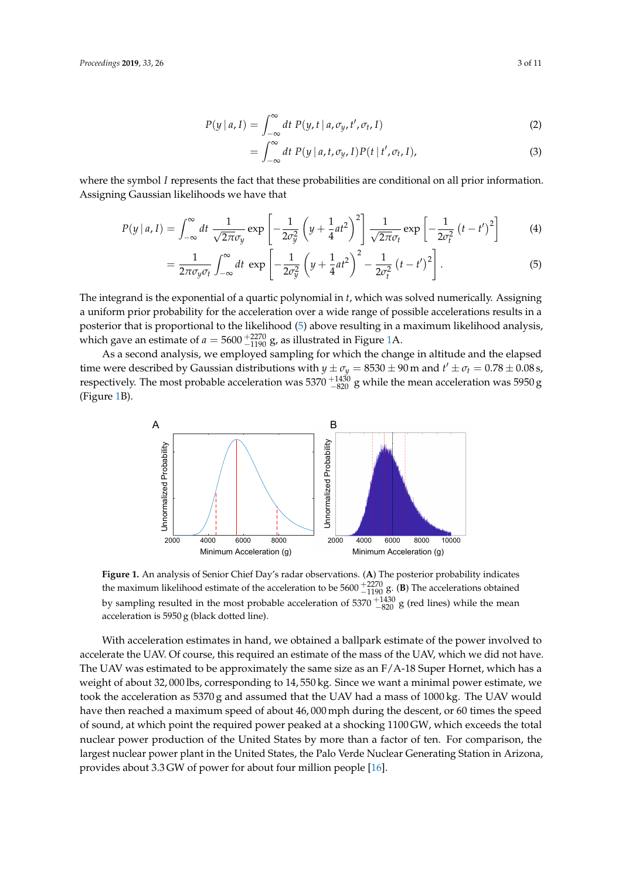$$
P(y | a, I) = \int_{-\infty}^{\infty} dt P(y, t | a, \sigma_y, t', \sigma_t, I)
$$
 (2)

<span id="page-2-0"></span>
$$
= \int_{-\infty}^{\infty} dt P(y | a, t, \sigma_y, I) P(t | t', \sigma_t, I), \qquad (3)
$$

where the symbol *I* represents the fact that these probabilities are conditional on all prior information. Assigning Gaussian likelihoods we have that

$$
P(y \mid a, I) = \int_{-\infty}^{\infty} dt \; \frac{1}{\sqrt{2\pi}\sigma_y} \exp\left[-\frac{1}{2\sigma_y^2} \left(y + \frac{1}{4}at^2\right)^2\right] \frac{1}{\sqrt{2\pi}\sigma_t} \exp\left[-\frac{1}{2\sigma_t^2} \left(t - t'\right)^2\right] \tag{4}
$$

$$
=\frac{1}{2\pi\sigma_y\sigma_t}\int_{-\infty}^{\infty}dt\,\exp\left[-\frac{1}{2\sigma_y^2}\left(y+\frac{1}{4}at^2\right)^2-\frac{1}{2\sigma_t^2}\left(t-t'\right)^2\right].\tag{5}
$$

The integrand is the exponential of a quartic polynomial in *t*, which was solved numerically. Assigning a uniform prior probability for the acceleration over a wide range of possible accelerations results in a posterior that is proportional to the likelihood [\(5\)](#page-2-0) above resulting in a maximum likelihood analysis, which gave an estimate of  $a = 5600^{+2270}_{-1190}$  g, as illustrated in Figure [1A](#page-2-1).

<span id="page-2-1"></span>As a second analysis, we employed sampling for which the change in altitude and the elapsed time were described by Gaussian distributions with  $y \pm \sigma_y = 8530 \pm 90$  m and  $t' \pm \sigma_t = 0.78 \pm 0.08$  s, respectively. The most probable acceleration was 5370  $^{+1430}_{-820}$  g while the mean acceleration was 5950 g (Figure [1B](#page-2-1)).



**Figure 1.** An analysis of Senior Chief Day's radar observations. (**A**) The posterior probability indicates the maximum likelihood estimate of the acceleration to be  $5600^{+2270}_{-1190}$  g. (**B**) The accelerations obtained by sampling resulted in the most probable acceleration of  $5370^{+1430}_{-820}$  g (red lines) while the mean acceleration is 5950 g (black dotted line).

With acceleration estimates in hand, we obtained a ballpark estimate of the power involved to accelerate the UAV. Of course, this required an estimate of the mass of the UAV, which we did not have. The UAV was estimated to be approximately the same size as an  $F/A-18$  Super Hornet, which has a weight of about 32, 000 lbs, corresponding to 14, 550 kg. Since we want a minimal power estimate, we took the acceleration as 5370 g and assumed that the UAV had a mass of 1000 kg. The UAV would have then reached a maximum speed of about 46, 000 mph during the descent, or 60 times the speed of sound, at which point the required power peaked at a shocking 1100 GW, which exceeds the total nuclear power production of the United States by more than a factor of ten. For comparison, the largest nuclear power plant in the United States, the Palo Verde Nuclear Generating Station in Arizona, provides about 3.3 GW of power for about four million people [\[16\]](#page-9-7).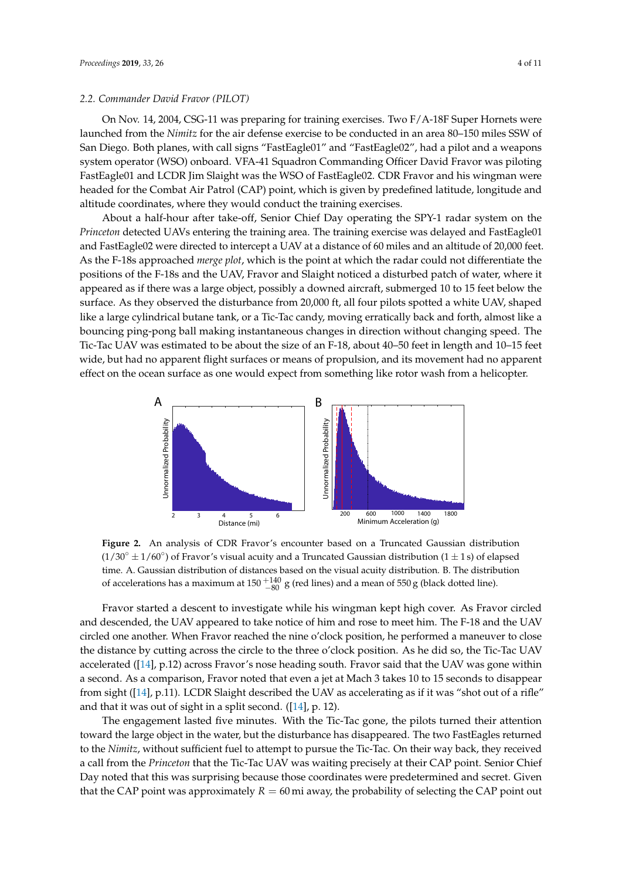#### *2.2. Commander David Fravor (PILOT)*

On Nov. 14, 2004, CSG-11 was preparing for training exercises. Two F/A-18F Super Hornets were launched from the *Nimitz* for the air defense exercise to be conducted in an area 80–150 miles SSW of San Diego. Both planes, with call signs "FastEagle01" and "FastEagle02", had a pilot and a weapons system operator (WSO) onboard. VFA-41 Squadron Commanding Officer David Fravor was piloting FastEagle01 and LCDR Jim Slaight was the WSO of FastEagle02. CDR Fravor and his wingman were headed for the Combat Air Patrol (CAP) point, which is given by predefined latitude, longitude and altitude coordinates, where they would conduct the training exercises.

About a half-hour after take-off, Senior Chief Day operating the SPY-1 radar system on the *Princeton* detected UAVs entering the training area. The training exercise was delayed and FastEagle01 and FastEagle02 were directed to intercept a UAV at a distance of 60 miles and an altitude of 20,000 feet. As the F-18s approached *merge plot*, which is the point at which the radar could not differentiate the positions of the F-18s and the UAV, Fravor and Slaight noticed a disturbed patch of water, where it appeared as if there was a large object, possibly a downed aircraft, submerged 10 to 15 feet below the surface. As they observed the disturbance from 20,000 ft, all four pilots spotted a white UAV, shaped like a large cylindrical butane tank, or a Tic-Tac candy, moving erratically back and forth, almost like a bouncing ping-pong ball making instantaneous changes in direction without changing speed. The Tic-Tac UAV was estimated to be about the size of an F-18, about 40–50 feet in length and 10–15 feet wide, but had no apparent flight surfaces or means of propulsion, and its movement had no apparent effect on the ocean surface as one would expect from something like rotor wash from a helicopter.

<span id="page-3-0"></span>

**Figure 2.** An analysis of CDR Fravor's encounter based on a Truncated Gaussian distribution  $(1/30° \pm 1/60°)$  of Fravor's visual acuity and a Truncated Gaussian distribution  $(1 \pm 1s)$  of elapsed time. A. Gaussian distribution of distances based on the visual acuity distribution. B. The distribution of accelerations has a maximum at 150  $^{+140}_{-80}$  g (red lines) and a mean of 550 g (black dotted line).

Fravor started a descent to investigate while his wingman kept high cover. As Fravor circled and descended, the UAV appeared to take notice of him and rose to meet him. The F-18 and the UAV circled one another. When Fravor reached the nine o'clock position, he performed a maneuver to close the distance by cutting across the circle to the three o'clock position. As he did so, the Tic-Tac UAV accelerated ([\[14\]](#page-9-5), p.12) across Fravor's nose heading south. Fravor said that the UAV was gone within a second. As a comparison, Fravor noted that even a jet at Mach 3 takes 10 to 15 seconds to disappear from sight ([\[14\]](#page-9-5), p.11). LCDR Slaight described the UAV as accelerating as if it was "shot out of a rifle" and that it was out of sight in a split second.  $(14)$ , p. 12).

The engagement lasted five minutes. With the Tic-Tac gone, the pilots turned their attention toward the large object in the water, but the disturbance has disappeared. The two FastEagles returned to the *Nimitz*, without sufficient fuel to attempt to pursue the Tic-Tac. On their way back, they received a call from the *Princeton* that the Tic-Tac UAV was waiting precisely at their CAP point. Senior Chief Day noted that this was surprising because those coordinates were predetermined and secret. Given that the CAP point was approximately  $R = 60$  mi away, the probability of selecting the CAP point out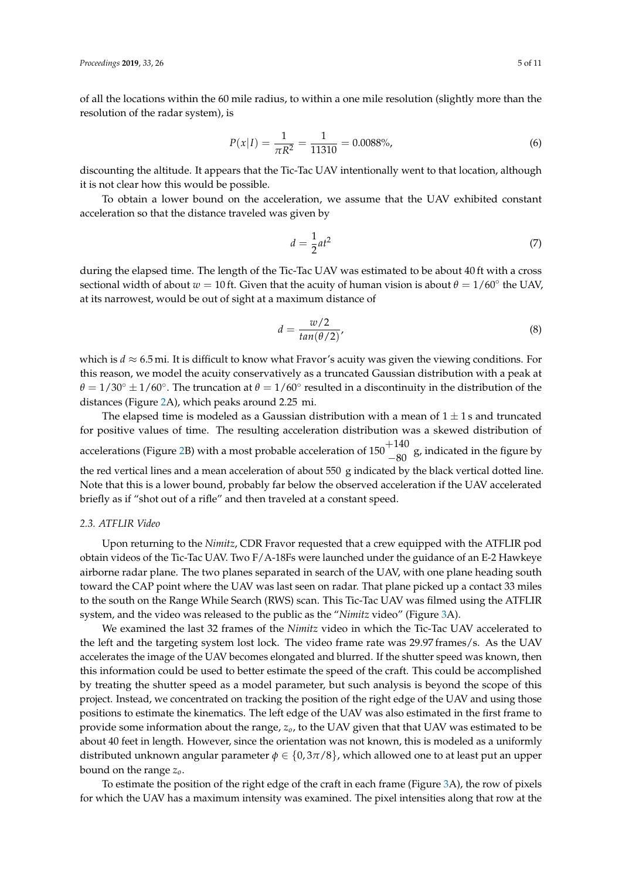of all the locations within the 60 mile radius, to within a one mile resolution (slightly more than the resolution of the radar system), is

$$
P(x|I) = \frac{1}{\pi R^2} = \frac{1}{11310} = 0.0088\%,\tag{6}
$$

discounting the altitude. It appears that the Tic-Tac UAV intentionally went to that location, although it is not clear how this would be possible.

To obtain a lower bound on the acceleration, we assume that the UAV exhibited constant acceleration so that the distance traveled was given by

<span id="page-4-0"></span>
$$
d = \frac{1}{2}at^2 \tag{7}
$$

during the elapsed time. The length of the Tic-Tac UAV was estimated to be about 40 ft with a cross sectional width of about  $w = 10$  ft. Given that the acuity of human vision is about  $\theta = 1/60^{\circ}$  the UAV, at its narrowest, would be out of sight at a maximum distance of

$$
d = \frac{w/2}{tan(\theta/2)}
$$
\n(8)

which is  $d \approx 6.5$  mi. It is difficult to know what Fravor's acuity was given the viewing conditions. For this reason, we model the acuity conservatively as a truncated Gaussian distribution with a peak at  $\theta = 1/30^\circ \pm 1/60^\circ$ . The truncation at  $\theta = 1/60^\circ$  resulted in a discontinuity in the distribution of the distances (Figure [2A](#page-3-0)), which peaks around 2.25 mi.

The elapsed time is modeled as a Gaussian distribution with a mean of  $1 \pm 1$  s and truncated for positive values of time. The resulting acceleration distribution was a skewed distribution of accelerations (Figure [2B](#page-3-0)) with a most probable acceleration of  $150\frac{+140}{-80}$  g, indicated in the figure by the red vertical lines and a mean acceleration of about 550 g indicated by the black vertical dotted line. Note that this is a lower bound, probably far below the observed acceleration if the UAV accelerated briefly as if "shot out of a rifle" and then traveled at a constant speed.

## *2.3. ATFLIR Video*

Upon returning to the *Nimitz*, CDR Fravor requested that a crew equipped with the ATFLIR pod obtain videos of the Tic-Tac UAV. Two F/A-18Fs were launched under the guidance of an E-2 Hawkeye airborne radar plane. The two planes separated in search of the UAV, with one plane heading south toward the CAP point where the UAV was last seen on radar. That plane picked up a contact 33 miles to the south on the Range While Search (RWS) scan. This Tic-Tac UAV was filmed using the ATFLIR system, and the video was released to the public as the "*Nimitz* video" (Figure [3A](#page-5-0)).

We examined the last 32 frames of the *Nimitz* video in which the Tic-Tac UAV accelerated to the left and the targeting system lost lock. The video frame rate was 29.97 frames/s. As the UAV accelerates the image of the UAV becomes elongated and blurred. If the shutter speed was known, then this information could be used to better estimate the speed of the craft. This could be accomplished by treating the shutter speed as a model parameter, but such analysis is beyond the scope of this project. Instead, we concentrated on tracking the position of the right edge of the UAV and using those positions to estimate the kinematics. The left edge of the UAV was also estimated in the first frame to provide some information about the range, *zo*, to the UAV given that that UAV was estimated to be about 40 feet in length. However, since the orientation was not known, this is modeled as a uniformly distributed unknown angular parameter  $\phi \in \{0.3\pi/8\}$ , which allowed one to at least put an upper bound on the range *zo*.

To estimate the position of the right edge of the craft in each frame (Figure [3A](#page-5-0)), the row of pixels for which the UAV has a maximum intensity was examined. The pixel intensities along that row at the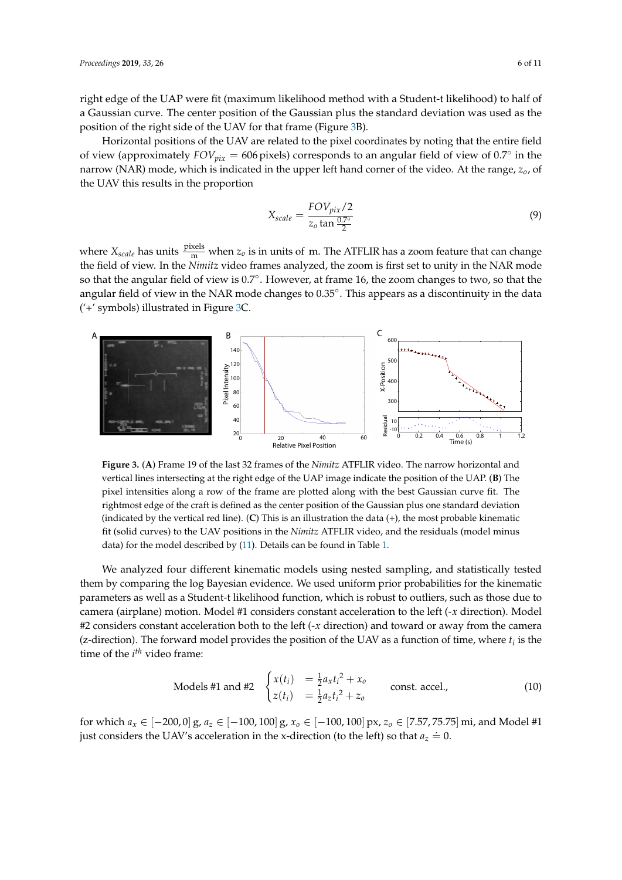right edge of the UAP were fit (maximum likelihood method with a Student-t likelihood) to half of a Gaussian curve. The center position of the Gaussian plus the standard deviation was used as the position of the right side of the UAV for that frame (Figure [3B](#page-5-0)).

Horizontal positions of the UAV are related to the pixel coordinates by noting that the entire field of view (approximately  $FOV_{pix} = 606$  pixels) corresponds to an angular field of view of  $0.7^\circ$  in the narrow (NAR) mode, which is indicated in the upper left hand corner of the video. At the range, *zo*, of the UAV this results in the proportion

$$
X_{scale} = \frac{FOV_{pix}/2}{z_o \tan \frac{0.7^{\circ}}{2}} \tag{9}
$$

where  $X_{scale}$  has units  $\frac{pixels}{m}$  when  $z_o$  is in units of m. The ATFLIR has a zoom feature that can change the field of view. In the *Nimitz* video frames analyzed, the zoom is first set to unity in the NAR mode so that the angular field of view is 0.7<sup>°</sup>. However, at frame 16, the zoom changes to two, so that the angular field of view in the NAR mode changes to 0.35°. This appears as a discontinuity in the data ('+' symbols) illustrated in Figure [3C](#page-5-0).

<span id="page-5-0"></span>

**Figure 3.** (**A**) Frame 19 of the last 32 frames of the *Nimitz* ATFLIR video. The narrow horizontal and vertical lines intersecting at the right edge of the UAP image indicate the position of the UAP. (**B**) The pixel intensities along a row of the frame are plotted along with the best Gaussian curve fit. The rightmost edge of the craft is defined as the center position of the Gaussian plus one standard deviation (indicated by the vertical red line). (**C**) This is an illustration the data (+), the most probable kinematic fit (solid curves) to the UAV positions in the *Nimitz* ATFLIR video, and the residuals (model minus data) for the model described by [\(11\)](#page-6-0). Details can be found in Table [1.](#page-6-1)

We analyzed four different kinematic models using nested sampling, and statistically tested them by comparing the log Bayesian evidence. We used uniform prior probabilities for the kinematic parameters as well as a Student-t likelihood function, which is robust to outliers, such as those due to camera (airplane) motion. Model #1 considers constant acceleration to the left (-*x* direction). Model #2 considers constant acceleration both to the left (-*x* direction) and toward or away from the camera (z-direction). The forward model provides the position of the UAV as a function of time, where  $t_i$  is the time of the *i*<sup>th</sup> video frame:

Models #1 and #2

\n
$$
\begin{cases}\n x(t_i) &= \frac{1}{2} a_x t_i^2 + x_o \\
z(t_i) &= \frac{1}{2} a_z t_i^2 + z_o\n \end{cases}\n \quad \text{const. } \text{accel.},\n \tag{10}
$$

for which *a<sup>x</sup>* ∈ [−200, 0] g, *a<sup>z</sup>* ∈ [−100, 100] g, *x<sup>o</sup>* ∈ [−100, 100] px, *z<sup>o</sup>* ∈ [7.57, 75.75] mi, and Model #1 just considers the UAV's acceleration in the x-direction (to the left) so that  $a_z = 0$ .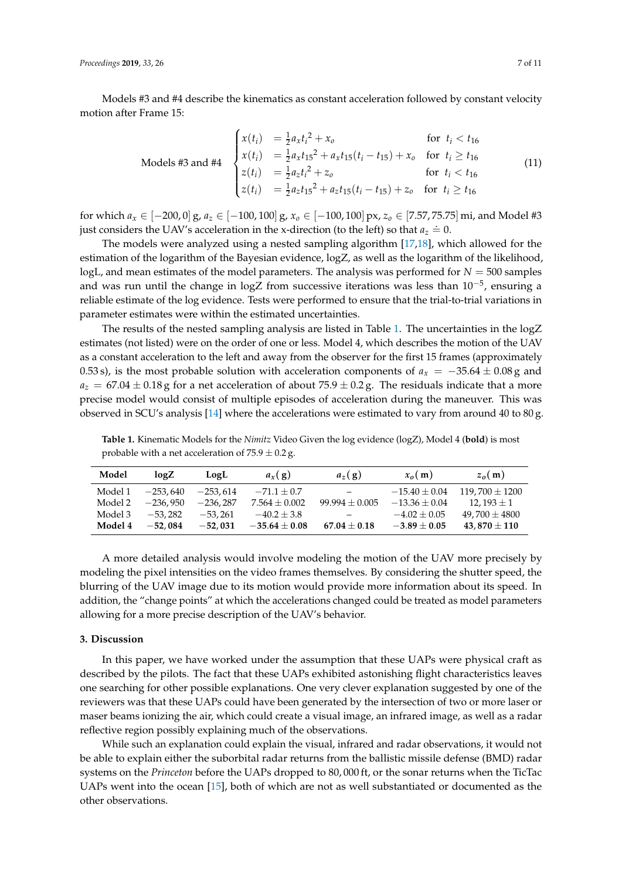Models #3 and #4 describe the kinematics as constant acceleration followed by constant velocity motion after Frame 15:

<span id="page-6-0"></span>
$$
\text{Models #3 and #4} \quad\n\begin{cases}\n x(t_i) &= \frac{1}{2} a_x t_i^2 + x_o & \text{for } t_i < t_{16} \\
x(t_i) &= \frac{1}{2} a_x t_{15}^2 + a_x t_{15} (t_i - t_{15}) + x_o & \text{for } t_i \geq t_{16} \\
z(t_i) &= \frac{1}{2} a_z t_i^2 + z_o & \text{for } t_i < t_{16} \\
z(t_i) &= \frac{1}{2} a_z t_{15}^2 + a_z t_{15} (t_i - t_{15}) + z_o & \text{for } t_i \geq t_{16}\n\end{cases}\n\tag{11}
$$

for which *a<sup>x</sup>* ∈ [−200, 0] g, *a<sup>z</sup>* ∈ [−100, 100] g, *x<sup>o</sup>* ∈ [−100, 100] px, *z<sup>o</sup>* ∈ [7.57, 75.75] mi, and Model #3 just considers the UAV's acceleration in the x-direction (to the left) so that  $a_z = 0$ .

The models were analyzed using a nested sampling algorithm [\[17,](#page-9-8)[18\]](#page-9-9), which allowed for the estimation of the logarithm of the Bayesian evidence, logZ, as well as the logarithm of the likelihood, logL, and mean estimates of the model parameters. The analysis was performed for  $N = 500$  samples and was run until the change in logZ from successive iterations was less than 10<sup>-5</sup>, ensuring a reliable estimate of the log evidence. Tests were performed to ensure that the trial-to-trial variations in parameter estimates were within the estimated uncertainties.

The results of the nested sampling analysis are listed in Table [1.](#page-6-1) The uncertainties in the logZ estimates (not listed) were on the order of one or less. Model 4, which describes the motion of the UAV as a constant acceleration to the left and away from the observer for the first 15 frames (approximately 0.53 s), is the most probable solution with acceleration components of  $a_x = -35.64 \pm 0.08$  g and  $a_z = 67.04 \pm 0.18$  g for a net acceleration of about 75.9  $\pm$  0.2 g. The residuals indicate that a more precise model would consist of multiple episodes of acceleration during the maneuver. This was observed in SCU's analysis [\[14\]](#page-9-5) where the accelerations were estimated to vary from around 40 to 80 g.

<span id="page-6-1"></span>**Table 1.** Kinematic Models for the *Nimitz* Video Given the log evidence (logZ), Model 4 (**bold**) is most probable with a net acceleration of  $75.9 \pm 0.2$  g.

| Model   | log Z      | LogL       | $a_x(g)$        | $a_z(g)$           | $x_0(m)$          | $z_0(m)$           |
|---------|------------|------------|-----------------|--------------------|-------------------|--------------------|
| Model 1 | $-253.640$ | $-253.614$ | $-71.1 + 0.7$   | $\equiv$           | $-15.40 \pm 0.04$ | $119.700 \pm 1200$ |
| Model 2 | $-236.950$ | $-236.287$ | $7.564 + 0.002$ | $99.994 \pm 0.005$ | $-13.36 + 0.04$   | $12.193 \pm 1$     |
| Model 3 | $-53.282$  | $-53.261$  | $-40.2 + 3.8$   |                    | $-4.02 \pm 0.05$  | $49.700 \pm 4800$  |
| Model 4 | $-52.084$  | $-52.031$  | $-35.64 + 0.08$ | $67.04 + 0.18$     | $-3.89 + 0.05$    | 43,870 $\pm$ 110   |

A more detailed analysis would involve modeling the motion of the UAV more precisely by modeling the pixel intensities on the video frames themselves. By considering the shutter speed, the blurring of the UAV image due to its motion would provide more information about its speed. In addition, the "change points" at which the accelerations changed could be treated as model parameters allowing for a more precise description of the UAV's behavior.

## **3. Discussion**

In this paper, we have worked under the assumption that these UAPs were physical craft as described by the pilots. The fact that these UAPs exhibited astonishing flight characteristics leaves one searching for other possible explanations. One very clever explanation suggested by one of the reviewers was that these UAPs could have been generated by the intersection of two or more laser or maser beams ionizing the air, which could create a visual image, an infrared image, as well as a radar reflective region possibly explaining much of the observations.

While such an explanation could explain the visual, infrared and radar observations, it would not be able to explain either the suborbital radar returns from the ballistic missile defense (BMD) radar systems on the *Princeton* before the UAPs dropped to 80, 000 ft, or the sonar returns when the TicTac UAPs went into the ocean [\[15\]](#page-9-6), both of which are not as well substantiated or documented as the other observations.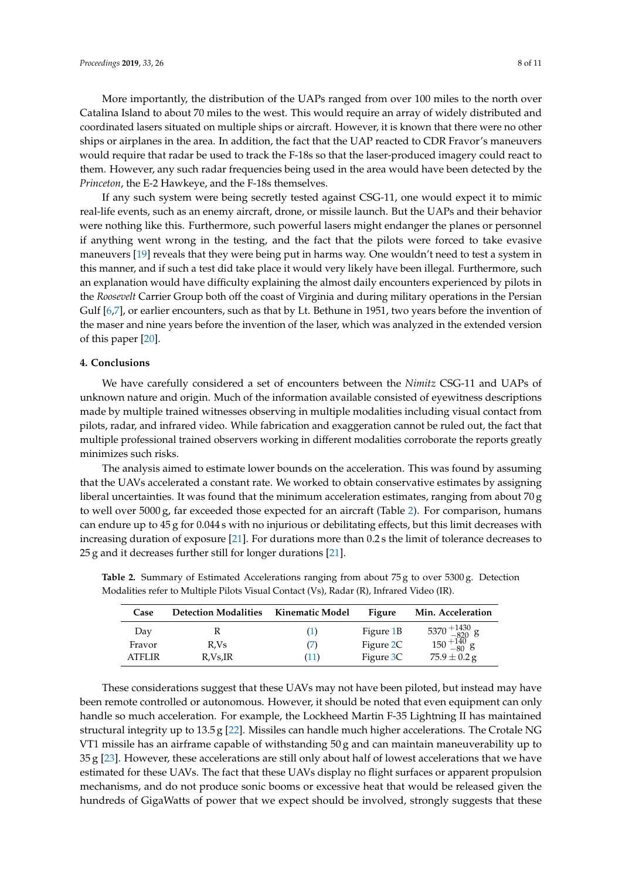More importantly, the distribution of the UAPs ranged from over 100 miles to the north over Catalina Island to about 70 miles to the west. This would require an array of widely distributed and coordinated lasers situated on multiple ships or aircraft. However, it is known that there were no other ships or airplanes in the area. In addition, the fact that the UAP reacted to CDR Fravor's maneuvers would require that radar be used to track the F-18s so that the laser-produced imagery could react to them. However, any such radar frequencies being used in the area would have been detected by the *Princeton*, the E-2 Hawkeye, and the F-18s themselves.

If any such system were being secretly tested against CSG-11, one would expect it to mimic real-life events, such as an enemy aircraft, drone, or missile launch. But the UAPs and their behavior were nothing like this. Furthermore, such powerful lasers might endanger the planes or personnel if anything went wrong in the testing, and the fact that the pilots were forced to take evasive maneuvers [\[19\]](#page-9-10) reveals that they were being put in harms way. One wouldn't need to test a system in this manner, and if such a test did take place it would very likely have been illegal. Furthermore, such an explanation would have difficulty explaining the almost daily encounters experienced by pilots in the *Roosevelt* Carrier Group both off the coast of Virginia and during military operations in the Persian Gulf [\[6](#page-9-0)[,7\]](#page-9-1), or earlier encounters, such as that by Lt. Bethune in 1951, two years before the invention of the maser and nine years before the invention of the laser, which was analyzed in the extended version of this paper [\[20\]](#page-9-11).

#### **4. Conclusions**

We have carefully considered a set of encounters between the *Nimitz* CSG-11 and UAPs of unknown nature and origin. Much of the information available consisted of eyewitness descriptions made by multiple trained witnesses observing in multiple modalities including visual contact from pilots, radar, and infrared video. While fabrication and exaggeration cannot be ruled out, the fact that multiple professional trained observers working in different modalities corroborate the reports greatly minimizes such risks.

The analysis aimed to estimate lower bounds on the acceleration. This was found by assuming that the UAVs accelerated a constant rate. We worked to obtain conservative estimates by assigning liberal uncertainties. It was found that the minimum acceleration estimates, ranging from about 70 g to well over 5000 g, far exceeded those expected for an aircraft (Table [2\)](#page-7-0). For comparison, humans can endure up to 45 g for 0.044 s with no injurious or debilitating effects, but this limit decreases with increasing duration of exposure [\[21\]](#page-9-12). For durations more than 0.2 s the limit of tolerance decreases to 25 g and it decreases further still for longer durations [\[21\]](#page-9-12).

| Case   | <b>Detection Modalities</b> | Kinematic Model | Figure    | Min. Acceleration                                                                   |
|--------|-----------------------------|-----------------|-----------|-------------------------------------------------------------------------------------|
| Day    |                             | (1)             | Figure 1B | $5370 {+1430 \atop -820} \}_{\rm -80} \rm g \nonumber \ 150 {+140 \atop -80} \rm g$ |
| Fravor | R.Vs                        | (7)             | Figure 2C |                                                                                     |
| ATFLIR | R.Vs, IR                    | (11)            | Figure 3C | $75.9 \pm 0.2$ g                                                                    |

<span id="page-7-0"></span>**Table 2.** Summary of Estimated Accelerations ranging from about 75 g to over 5300 g. Detection Modalities refer to Multiple Pilots Visual Contact (Vs), Radar (R), Infrared Video (IR).

These considerations suggest that these UAVs may not have been piloted, but instead may have been remote controlled or autonomous. However, it should be noted that even equipment can only handle so much acceleration. For example, the Lockheed Martin F-35 Lightning II has maintained structural integrity up to 13.5 g [\[22\]](#page-9-13). Missiles can handle much higher accelerations. The Crotale NG VT1 missile has an airframe capable of withstanding 50 g and can maintain maneuverability up to 35 g [\[23\]](#page-9-14). However, these accelerations are still only about half of lowest accelerations that we have estimated for these UAVs. The fact that these UAVs display no flight surfaces or apparent propulsion mechanisms, and do not produce sonic booms or excessive heat that would be released given the hundreds of GigaWatts of power that we expect should be involved, strongly suggests that these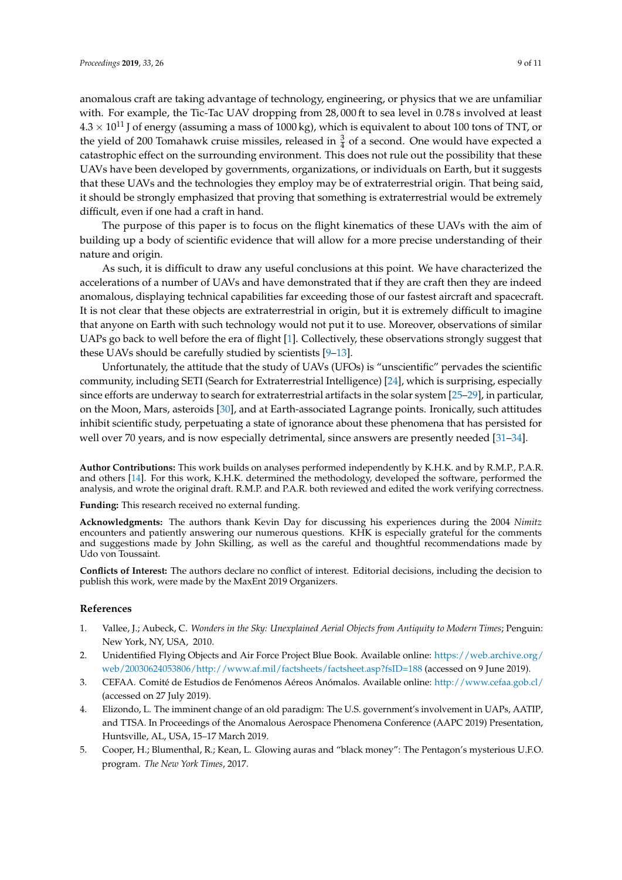anomalous craft are taking advantage of technology, engineering, or physics that we are unfamiliar with. For example, the Tic-Tac UAV dropping from 28,000 ft to sea level in 0.78 s involved at least  $4.3 \times 10^{11}$  J of energy (assuming a mass of 1000 kg), which is equivalent to about 100 tons of TNT, or the yield of 200 Tomahawk cruise missiles, released in  $\frac{3}{4}$  of a second. One would have expected a catastrophic effect on the surrounding environment. This does not rule out the possibility that these UAVs have been developed by governments, organizations, or individuals on Earth, but it suggests that these UAVs and the technologies they employ may be of extraterrestrial origin. That being said, it should be strongly emphasized that proving that something is extraterrestrial would be extremely difficult, even if one had a craft in hand.

The purpose of this paper is to focus on the flight kinematics of these UAVs with the aim of building up a body of scientific evidence that will allow for a more precise understanding of their nature and origin.

As such, it is difficult to draw any useful conclusions at this point. We have characterized the accelerations of a number of UAVs and have demonstrated that if they are craft then they are indeed anomalous, displaying technical capabilities far exceeding those of our fastest aircraft and spacecraft. It is not clear that these objects are extraterrestrial in origin, but it is extremely difficult to imagine that anyone on Earth with such technology would not put it to use. Moreover, observations of similar UAPs go back to well before the era of flight [\[1\]](#page-8-0). Collectively, these observations strongly suggest that these UAVs should be carefully studied by scientists [\[9](#page-9-3)[–13\]](#page-9-4).

Unfortunately, the attitude that the study of UAVs (UFOs) is "unscientific" pervades the scientific community, including SETI (Search for Extraterrestrial Intelligence) [\[24\]](#page-9-15), which is surprising, especially since efforts are underway to search for extraterrestrial artifacts in the solar system [\[25–](#page-9-16)[29\]](#page-9-17), in particular, on the Moon, Mars, asteroids [\[30\]](#page-9-18), and at Earth-associated Lagrange points. Ironically, such attitudes inhibit scientific study, perpetuating a state of ignorance about these phenomena that has persisted for well over 70 years, and is now especially detrimental, since answers are presently needed [\[31–](#page-9-19)[34\]](#page-10-0).

**Author Contributions:** This work builds on analyses performed independently by K.H.K. and by R.M.P., P.A.R. and others [\[14\]](#page-9-5). For this work, K.H.K. determined the methodology, developed the software, performed the analysis, and wrote the original draft. R.M.P. and P.A.R. both reviewed and edited the work verifying correctness.

**Funding:** This research received no external funding.

**Acknowledgments:** The authors thank Kevin Day for discussing his experiences during the 2004 *Nimitz* encounters and patiently answering our numerous questions. KHK is especially grateful for the comments and suggestions made by John Skilling, as well as the careful and thoughtful recommendations made by Udo von Toussaint.

**Conflicts of Interest:** The authors declare no conflict of interest. Editorial decisions, including the decision to publish this work, were made by the MaxEnt 2019 Organizers.

#### **References**

- <span id="page-8-0"></span>1. Vallee, J.; Aubeck, C. *Wonders in the Sky: Unexplained Aerial Objects from Antiquity to Modern Times*; Penguin: New York, NY, USA, 2010.
- <span id="page-8-1"></span>2. Unidentified Flying Objects and Air Force Project Blue Book. Available online: [https://web.archive.org/](https://web.archive.org/web/20030624053806/http://www.af.mil/factsheets/factsheet.asp?fsID=188) [web/20030624053806/http://www.af.mil/factsheets/factsheet.asp?fsID=188](https://web.archive.org/web/20030624053806/http://www.af.mil/factsheets/factsheet.asp?fsID=188) (accessed on 9 June 2019).
- <span id="page-8-2"></span>3. CEFAA. Comité de Estudios de Fenómenos Aéreos Anómalos. Available online: <http://www.cefaa.gob.cl/> (accessed on 27 July 2019).
- <span id="page-8-3"></span>4. Elizondo, L. The imminent change of an old paradigm: The U.S. government's involvement in UAPs, AATIP, and TTSA. In Proceedings of the Anomalous Aerospace Phenomena Conference (AAPC 2019) Presentation, Huntsville, AL, USA, 15–17 March 2019.
- <span id="page-8-4"></span>5. Cooper, H.; Blumenthal, R.; Kean, L. Glowing auras and "black money": The Pentagon's mysterious U.F.O. program. *The New York Times*, 2017.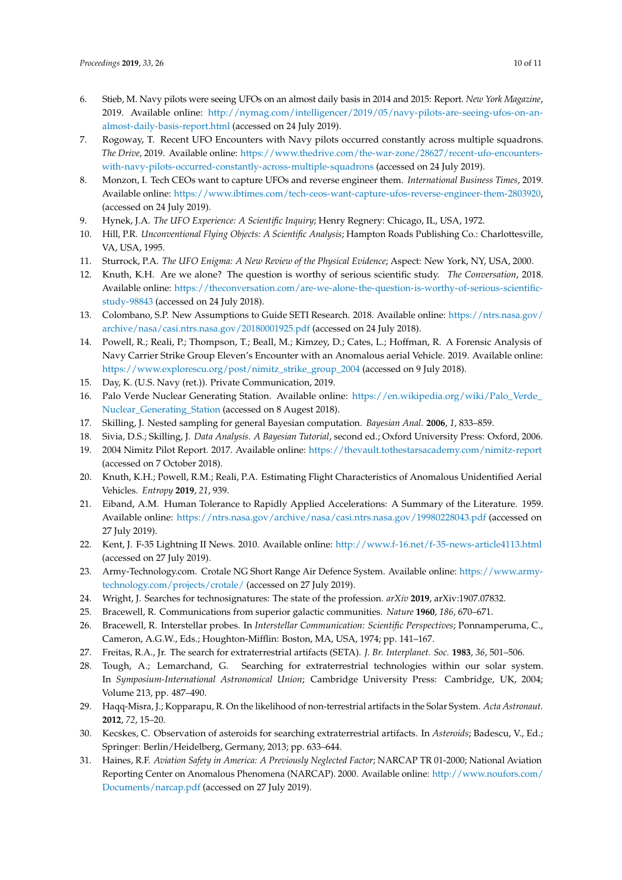- <span id="page-9-0"></span>6. Stieb, M. Navy pilots were seeing UFOs on an almost daily basis in 2014 and 2015: Report. *New York Magazine*, 2019. Available online: [http://nymag.com/intelligencer/2019/05/navy-pilots-are-seeing-ufos-on-an](http://nymag.com/intelligencer/2019/05/navy-pilots-are-seeing-ufos-on-an-almost-daily-basis-report.html)[almost-daily-basis-report.html](http://nymag.com/intelligencer/2019/05/navy-pilots-are-seeing-ufos-on-an-almost-daily-basis-report.html) (accessed on 24 July 2019).
- <span id="page-9-1"></span>7. Rogoway, T. Recent UFO Encounters with Navy pilots occurred constantly across multiple squadrons. *The Drive*, 2019. Available online: [https://www.thedrive.com/the-war-zone/28627/recent-ufo-encounters](https://www.thedrive.com/the-war-zone/28627/recent-ufo-encounters-with-navy-pilots-occurred-constantly-across-multiple-squadrons)[with-navy-pilots-occurred-constantly-across-multiple-squadrons](https://www.thedrive.com/the-war-zone/28627/recent-ufo-encounters-with-navy-pilots-occurred-constantly-across-multiple-squadrons) (accessed on 24 July 2019).
- <span id="page-9-2"></span>8. Monzon, I. Tech CEOs want to capture UFOs and reverse engineer them. *International Business Times*, 2019. Available online: [https://www.ibtimes.com/tech-ceos-want-capture-ufos-reverse-engineer-them-2803920,](https://www.ibtimes.com/tech-ceos-want-capture-ufos-reverse-engineer-them-2803920) (accessed on 24 July 2019).
- <span id="page-9-3"></span>9. Hynek, J.A. *The UFO Experience: A Scientific Inquiry*; Henry Regnery: Chicago, IL, USA, 1972.
- 10. Hill, P.R. *Unconventional Flying Objects: A Scientific Analysis*; Hampton Roads Publishing Co.: Charlottesville, VA, USA, 1995.
- 11. Sturrock, P.A. *The UFO Enigma: A New Review of the Physical Evidence*; Aspect: New York, NY, USA, 2000.
- 12. Knuth, K.H. Are we alone? The question is worthy of serious scientific study. *The Conversation*, 2018. Available online: [https://theconversation.com/are-we-alone-the-question-is-worthy-of-serious-scientific](https://theconversation.com/are-we-alone-the-question-is-worthy-of-serious-scientific-study-98843)[study-98843](https://theconversation.com/are-we-alone-the-question-is-worthy-of-serious-scientific-study-98843) (accessed on 24 July 2018).
- <span id="page-9-4"></span>13. Colombano, S.P. New Assumptions to Guide SETI Research. 2018. Available online: [https://ntrs.nasa.gov/](https://ntrs.nasa.gov/archive/nasa/casi.ntrs.nasa.gov/20180001925.pdf) [archive/nasa/casi.ntrs.nasa.gov/20180001925.pdf](https://ntrs.nasa.gov/archive/nasa/casi.ntrs.nasa.gov/20180001925.pdf) (accessed on 24 July 2018).
- <span id="page-9-5"></span>14. Powell, R.; Reali, P.; Thompson, T.; Beall, M.; Kimzey, D.; Cates, L.; Hoffman, R. A Forensic Analysis of Navy Carrier Strike Group Eleven's Encounter with an Anomalous aerial Vehicle. 2019. Available online: [https://www.explorescu.org/post/nimitz\\_strike\\_group\\_2004](https://www.explorescu.org/post/nimitz_strike_group_2004) (accessed on 9 July 2018).
- <span id="page-9-6"></span>15. Day, K. (U.S. Navy (ret.)). Private Communication, 2019.
- <span id="page-9-7"></span>16. Palo Verde Nuclear Generating Station. Available online: [https://en.wikipedia.org/wiki/Palo\\_Verde\\_](https://en.wikipedia.org/wiki/Palo_Verde_Nuclear_Generating_Station) [Nuclear\\_Generating\\_Station](https://en.wikipedia.org/wiki/Palo_Verde_Nuclear_Generating_Station) (accessed on 8 Augest 2018).
- <span id="page-9-8"></span>17. Skilling, J. Nested sampling for general Bayesian computation. *Bayesian Anal.* **2006**, *1*, 833–859.
- <span id="page-9-9"></span>18. Sivia, D.S.; Skilling, J. *Data Analysis. A Bayesian Tutorial*, second ed.; Oxford University Press: Oxford, 2006.
- <span id="page-9-10"></span>19. 2004 Nimitz Pilot Report. 2017. Available online: <https://thevault.tothestarsacademy.com/nimitz-report> (accessed on 7 October 2018).
- <span id="page-9-11"></span>20. Knuth, K.H.; Powell, R.M.; Reali, P.A. Estimating Flight Characteristics of Anomalous Unidentified Aerial Vehicles. *Entropy* **2019**, *21*, 939.
- <span id="page-9-12"></span>21. Eiband, A.M. Human Tolerance to Rapidly Applied Accelerations: A Summary of the Literature. 1959. Available online: <https://ntrs.nasa.gov/archive/nasa/casi.ntrs.nasa.gov/19980228043.pdf> (accessed on 27 July 2019).
- <span id="page-9-13"></span>22. Kent, J. F-35 Lightning II News. 2010. Available online: <http://www.f-16.net/f-35-news-article4113.html> (accessed on 27 July 2019).
- <span id="page-9-14"></span>23. Army-Technology.com. Crotale NG Short Range Air Defence System. Available online: [https://www.army](https://www.army-technology.com/projects/crotale/)[technology.com/projects/crotale/](https://www.army-technology.com/projects/crotale/) (accessed on 27 July 2019).
- <span id="page-9-15"></span>24. Wright, J. Searches for technosignatures: The state of the profession. *arXiv* **2019**, arXiv:1907.07832.
- <span id="page-9-16"></span>25. Bracewell, R. Communications from superior galactic communities. *Nature* **1960**, *186*, 670–671.
- 26. Bracewell, R. Interstellar probes. In *Interstellar Communication: Scientific Perspectives*; Ponnamperuma, C., Cameron, A.G.W., Eds.; Houghton-Mifflin: Boston, MA, USA, 1974; pp. 141–167.
- 27. Freitas, R.A., Jr. The search for extraterrestrial artifacts (SETA). *J. Br. Interplanet. Soc.* **1983**, *36*, 501–506.
- 28. Tough, A.; Lemarchand, G. Searching for extraterrestrial technologies within our solar system. In *Symposium-International Astronomical Union*; Cambridge University Press: Cambridge, UK, 2004; Volume 213, pp. 487–490.
- <span id="page-9-17"></span>29. Haqq-Misra, J.; Kopparapu, R. On the likelihood of non-terrestrial artifacts in the Solar System. *Acta Astronaut.* **2012**, *72*, 15–20.
- <span id="page-9-18"></span>30. Kecskes, C. Observation of asteroids for searching extraterrestrial artifacts. In *Asteroids*; Badescu, V., Ed.; Springer: Berlin/Heidelberg, Germany, 2013; pp. 633–644.
- <span id="page-9-19"></span>31. Haines, R.F. *Aviation Safety in America: A Previously Neglected Factor*; NARCAP TR 01-2000; National Aviation Reporting Center on Anomalous Phenomena (NARCAP). 2000. Available online: [http://www.noufors.com/](http://www.noufors.com/Documents/narcap.pdf) [Documents/narcap.pdf](http://www.noufors.com/Documents/narcap.pdf) (accessed on 27 July 2019).